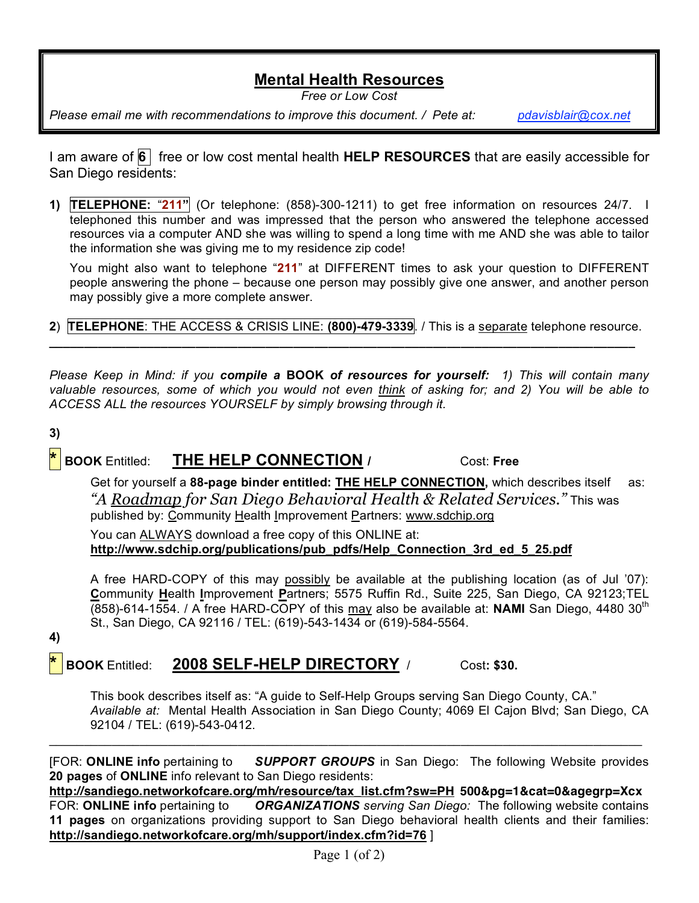## **Mental Health Resources**

*Free or Low Cost*

*Please email me with recommendations to improve this document. / Pete at: pdavisblair@cox.net*

I am aware of **6** free or low cost mental health **HELP RESOURCES** that are easily accessible for San Diego residents:

**1) TELEPHONE:** "**211"** (Or telephone: (858)-300-1211) to get free information on resources 24/7. I telephoned this number and was impressed that the person who answered the telephone accessed resources via a computer AND she was willing to spend a long time with me AND she was able to tailor the information she was giving me to my residence zip code!

You might also want to telephone "**211**" at DIFFERENT times to ask your question to DIFFERENT people answering the phone – because one person may possibly give one answer, and another person may possibly give a more complete answer.

**2**) **TELEPHONE**: THE ACCESS & CRISIS LINE: **(800)-479-3339**. / This is a separate telephone resource. **\_\_\_\_\_\_\_\_\_\_\_\_\_\_\_\_\_\_\_\_\_\_\_\_\_\_\_\_\_\_\_\_\_\_\_\_\_\_\_\_\_\_\_\_\_\_\_\_\_\_\_\_\_\_\_\_\_\_\_\_\_\_\_\_\_\_\_\_\_\_\_\_\_\_\_\_\_\_\_\_\_\_\_\_**

*Please Keep in Mind: if you compile a* **BOOK** *of resources for yourself: 1) This will contain many valuable resources, some of which you would not even think of asking for; and 2) You will be able to ACCESS ALL the resources YOURSELF by simply browsing through it.*

**3)** 

**\* BOOK** Entitled: **THE HELP CONNECTION /** Cost: **Free**

Get for yourself a **88-page binder entitled: THE HELP CONNECTION,** which describes itself as: *"A Roadmap for San Diego Behavioral Health & Related Services."* This was published by: Community Health Improvement Partners: www.sdchip.org

You can ALWAYS download a free copy of this ONLINE at: **http://www.sdchip.org/publications/pub\_pdfs/Help\_Connection\_3rd\_ed\_5\_25.pdf**

A free HARD-COPY of this may possibly be available at the publishing location (as of Jul '07): **C**ommunity **H**ealth **I**mprovement **P**artners; 5575 Ruffin Rd., Suite 225, San Diego, CA 92123;TEL (858)-614-1554. / A free HARD-COPY of this may also be available at: **NAMI** San Diego, 4480 30th St., San Diego, CA 92116 / TEL: (619)-543-1434 or (619)-584-5564.

**4)**

**\* BOOK** Entitled: **2008 SELF-HELP DIRECTORY** / Cost**: \$30.**

This book describes itself as: "A guide to Self-Help Groups serving San Diego County, CA." *Available at:* Mental Health Association in San Diego County; 4069 El Cajon Blvd; San Diego, CA 92104 / TEL: (619)-543-0412.

[FOR: **ONLINE info** pertaining to *SUPPORT GROUPS* in San Diego: The following Website provides **20 pages** of **ONLINE** info relevant to San Diego residents:

 $\mathcal{L}_\mathcal{L} = \{ \mathcal{L}_\mathcal{L} = \{ \mathcal{L}_\mathcal{L} = \{ \mathcal{L}_\mathcal{L} = \{ \mathcal{L}_\mathcal{L} = \{ \mathcal{L}_\mathcal{L} = \{ \mathcal{L}_\mathcal{L} = \{ \mathcal{L}_\mathcal{L} = \{ \mathcal{L}_\mathcal{L} = \{ \mathcal{L}_\mathcal{L} = \{ \mathcal{L}_\mathcal{L} = \{ \mathcal{L}_\mathcal{L} = \{ \mathcal{L}_\mathcal{L} = \{ \mathcal{L}_\mathcal{L} = \{ \mathcal{L}_\mathcal{$ 

**http://sandiego.networkofcare.org/mh/resource/tax\_list.cfm?sw=PH 500&pg=1&cat=0&agegrp=Xcx** FOR: **ONLINE info** pertaining to *ORGANIZATIONS serving San Diego:* The following website contains **11 pages** on organizations providing support to San Diego behavioral health clients and their families: **http://sandiego.networkofcare.org/mh/support/index.cfm?id=76** ]